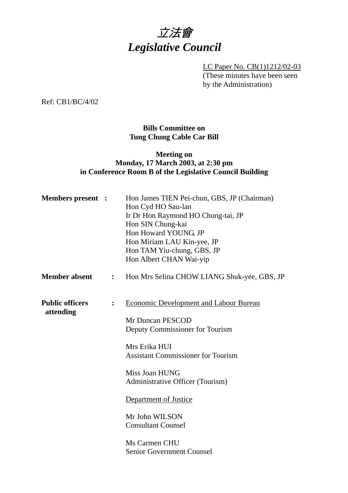

LC Paper No. CB(1)1212/02-03 (These minutes have been seen by the Administration)

Ref: CB1/BC/4/02

## **Bills Committee on Tung Chung Cable Car Bill**

## **Meeting on Monday, 17 March 2003, at 2:30 pm in Conference Room B of the Legislative Council Building**

| <b>Members</b> present :            |                | Hon James TIEN Pei-chun, GBS, JP (Chairman)<br>Hon Cyd HO Sau-lan<br>Ir Dr Hon Raymond HO Chung-tai, JP<br>Hon SIN Chung-kai<br>Hon Howard YOUNG, JP<br>Hon Miriam LAU Kin-yee, JP<br>Hon TAM Yiu-chung, GBS, JP<br>Hon Albert CHAN Wai-yip                                                                                                           |
|-------------------------------------|----------------|-------------------------------------------------------------------------------------------------------------------------------------------------------------------------------------------------------------------------------------------------------------------------------------------------------------------------------------------------------|
| <b>Member absent</b>                | $\ddot{\cdot}$ | Hon Mrs Selina CHOW LIANG Shuk-yee, GBS, JP                                                                                                                                                                                                                                                                                                           |
| <b>Public officers</b><br>attending | $\ddot{\cdot}$ | <b>Economic Development and Labour Bureau</b><br>Mr Duncan PESCOD<br>Deputy Commissioner for Tourism<br>Mrs Erika HUI<br><b>Assistant Commissioner for Tourism</b><br>Miss Joan HUNG<br>Administrative Officer (Tourism)<br>Department of Justice<br>Mr John WILSON<br><b>Consultant Counsel</b><br>Ms Carmen CHU<br><b>Senior Government Counsel</b> |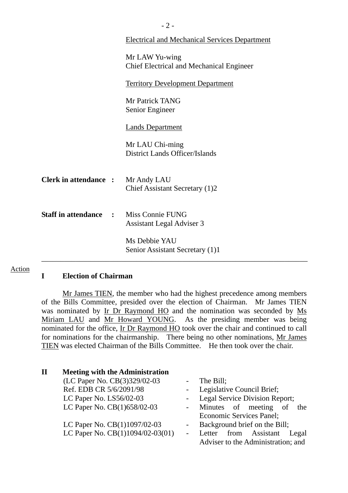|                              |                     | $-2-$                                                             |  |  |
|------------------------------|---------------------|-------------------------------------------------------------------|--|--|
|                              |                     | <b>Electrical and Mechanical Services Department</b>              |  |  |
|                              |                     | Mr LAW Yu-wing<br><b>Chief Electrical and Mechanical Engineer</b> |  |  |
|                              |                     | <b>Territory Development Department</b>                           |  |  |
|                              |                     | Mr Patrick TANG<br>Senior Engineer                                |  |  |
|                              |                     | <b>Lands Department</b>                                           |  |  |
|                              |                     | Mr LAU Chi-ming<br><b>District Lands Officer/Islands</b>          |  |  |
| <b>Clerk in attendance :</b> |                     | Mr Andy LAU<br>Chief Assistant Secretary (1)2                     |  |  |
| <b>Staff in attendance</b>   | $\sim$ 1.000 $\sim$ | Miss Connie FUNG<br><b>Assistant Legal Adviser 3</b>              |  |  |
|                              |                     | Ms Debbie YAU<br>Senior Assistant Secretary (1)1                  |  |  |
|                              |                     |                                                                   |  |  |

#### **I Election of Chairman**

Action

Mr James TIEN, the member who had the highest precedence among members of the Bills Committee, presided over the election of Chairman. Mr James TIEN was nominated by Ir Dr Raymond HO and the nomination was seconded by Ms Miriam LAU and Mr Howard YOUNG. As the presiding member was being nominated for the office, Ir Dr Raymond HO took over the chair and continued to call for nominations for the chairmanship. There being no other nominations, Mr James TIEN was elected Chairman of the Bills Committee. He then took over the chair.

| $\mathbf H$ | <b>Meeting with the Administration</b> |                |                                    |
|-------------|----------------------------------------|----------------|------------------------------------|
|             | (LC Paper No. CB(3)329/02-03           |                | The Bill;                          |
|             | Ref. EDB CR 5/6/2091/98                |                | - Legislative Council Brief;       |
|             | LC Paper No. LS56/02-03                |                | Legal Service Division Report;     |
|             | LC Paper No. CB(1)658/02-03            |                | - Minutes of meeting of<br>the     |
|             |                                        |                | Economic Services Panel;           |
|             | LC Paper No. CB(1)1097/02-03           |                | Background brief on the Bill;      |
|             | LC Paper No. CB(1)1094/02-03(01)       | $\blacksquare$ | Letter from Assistant<br>Legal     |
|             |                                        |                | Adviser to the Administration; and |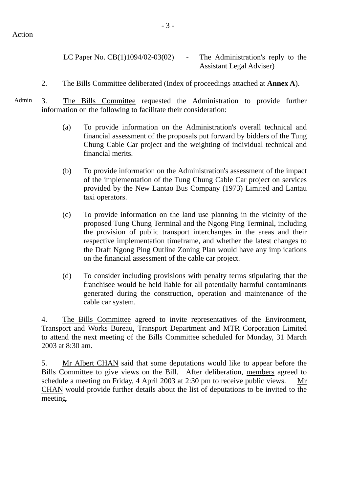LC Paper No.  $CB(1)1094/02-03(02)$  - The Administration's reply to the Assistant Legal Adviser)

- 2. The Bills Committee deliberated (Index of proceedings attached at **Annex A**).
- Admin 3. The Bills Committee requested the Administration to provide further information on the following to facilitate their consideration:
	- (a) To provide information on the Administration's overall technical and financial assessment of the proposals put forward by bidders of the Tung Chung Cable Car project and the weighting of individual technical and financial merits.
	- (b) To provide information on the Administration's assessment of the impact of the implementation of the Tung Chung Cable Car project on services provided by the New Lantao Bus Company (1973) Limited and Lantau taxi operators.
	- (c) To provide information on the land use planning in the vicinity of the proposed Tung Chung Terminal and the Ngong Ping Terminal, including the provision of public transport interchanges in the areas and their respective implementation timeframe, and whether the latest changes to the Draft Ngong Ping Outline Zoning Plan would have any implications on the financial assessment of the cable car project.
	- (d) To consider including provisions with penalty terms stipulating that the franchisee would be held liable for all potentially harmful contaminants generated during the construction, operation and maintenance of the cable car system.

4. The Bills Committee agreed to invite representatives of the Environment, Transport and Works Bureau, Transport Department and MTR Corporation Limited to attend the next meeting of the Bills Committee scheduled for Monday, 31 March 2003 at 8:30 am.

5. Mr Albert CHAN said that some deputations would like to appear before the Bills Committee to give views on the Bill. After deliberation, members agreed to schedule a meeting on Friday, 4 April 2003 at 2:30 pm to receive public views. Mr CHAN would provide further details about the list of deputations to be invited to the meeting.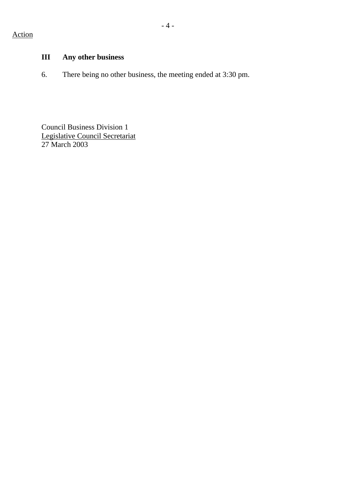# **III Any other business**

6. There being no other business, the meeting ended at 3:30 pm.

Council Business Division 1 Legislative Council Secretariat 27 March 2003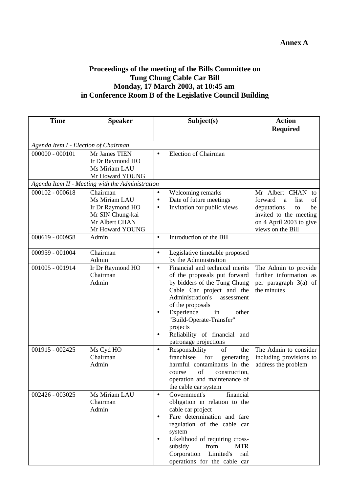## **Proceedings of the meeting of the Bills Committee on Tung Chung Cable Car Bill Monday, 17 March 2003, at 10:45 am in Conference Room B of the Legislative Council Building**

| <b>Time</b>       | <b>Speaker</b>                                                                                         | Subject(s)<br><b>Action</b>                                                                                                                                                                                                                                                                                                                                                                                                                      |                        |  |  |  |
|-------------------|--------------------------------------------------------------------------------------------------------|--------------------------------------------------------------------------------------------------------------------------------------------------------------------------------------------------------------------------------------------------------------------------------------------------------------------------------------------------------------------------------------------------------------------------------------------------|------------------------|--|--|--|
|                   |                                                                                                        | <b>Required</b>                                                                                                                                                                                                                                                                                                                                                                                                                                  |                        |  |  |  |
|                   | Agenda Item I - Election of Chairman                                                                   |                                                                                                                                                                                                                                                                                                                                                                                                                                                  |                        |  |  |  |
| $000000 - 000101$ | Mr James TIEN<br>Ir Dr Raymond HO<br>Ms Miriam LAU                                                     | <b>Election of Chairman</b><br>$\bullet$                                                                                                                                                                                                                                                                                                                                                                                                         |                        |  |  |  |
|                   | Mr Howard YOUNG<br>Agenda Item II - Meeting with the Administration                                    |                                                                                                                                                                                                                                                                                                                                                                                                                                                  |                        |  |  |  |
| $000102 - 000618$ | Chairman<br>Ms Miriam LAU<br>Ir Dr Raymond HO<br>Mr SIN Chung-kai<br>Mr Albert CHAN<br>Mr Howard YOUNG | Welcoming remarks<br>Mr Albert CHAN to<br>$\bullet$<br>Date of future meetings<br>forward<br>$\bullet$<br>a<br>Invitation for public views<br>deputations<br>$\bullet$<br>invited to the meeting<br>on 4 April 2003 to give<br>views on the Bill                                                                                                                                                                                                 | list<br>of<br>be<br>to |  |  |  |
| 000619 - 000958   | Admin                                                                                                  | Introduction of the Bill<br>$\bullet$                                                                                                                                                                                                                                                                                                                                                                                                            |                        |  |  |  |
| 000959 - 001004   | Chairman<br>Admin                                                                                      | Legislative timetable proposed<br>$\bullet$<br>by the Administration                                                                                                                                                                                                                                                                                                                                                                             |                        |  |  |  |
| 001005 - 001914   | Ir Dr Raymond HO<br>Chairman<br>Admin                                                                  | Financial and technical merits<br>The Admin to provide<br>$\bullet$<br>further information as<br>of the proposals put forward<br>by bidders of the Tung Chung<br>per paragraph 3(a) of<br>Cable Car project and the<br>the minutes<br>Administration's<br>assessment<br>of the proposals<br>Experience<br>in<br>other<br>$\bullet$<br>"Build-Operate-Transfer"<br>projects<br>Reliability of financial and<br>$\bullet$<br>patronage projections |                        |  |  |  |
| 001915 - 002425   | Ms Cyd HO<br>Chairman<br>Admin                                                                         | The Admin to consider<br>Responsibility<br>of<br>the<br>$\bullet$<br>franchisee<br>for<br>including provisions to<br>generating<br>harmful contaminants in the<br>address the problem<br>of<br>construction,<br>course<br>operation and maintenance of<br>the cable car system                                                                                                                                                                   |                        |  |  |  |
| 002426 - 003025   | Ms Miriam LAU<br>Chairman<br>Admin                                                                     | financial<br>Government's<br>$\bullet$<br>obligation in relation to the<br>cable car project<br>Fare determination and fare<br>$\bullet$<br>regulation of the cable car<br>system<br>Likelihood of requiring cross-<br>$\bullet$<br>from<br>subsidy<br><b>MTR</b><br>Corporation<br>Limited's<br>rail<br>operations for the cable car                                                                                                            |                        |  |  |  |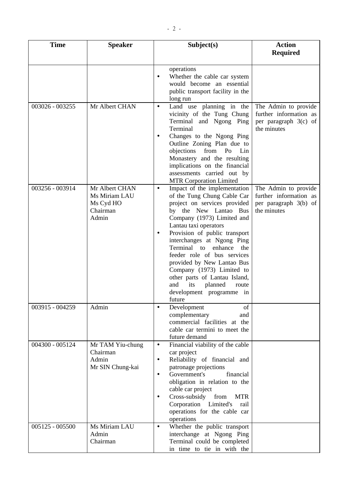| <b>Time</b>       | <b>Speaker</b>                                                    | Subject(s)                                                                                                                                                                                                                                                                                                                                                                                                                                                                                            | <b>Action</b><br><b>Required</b>                                                         |
|-------------------|-------------------------------------------------------------------|-------------------------------------------------------------------------------------------------------------------------------------------------------------------------------------------------------------------------------------------------------------------------------------------------------------------------------------------------------------------------------------------------------------------------------------------------------------------------------------------------------|------------------------------------------------------------------------------------------|
|                   |                                                                   |                                                                                                                                                                                                                                                                                                                                                                                                                                                                                                       |                                                                                          |
|                   |                                                                   | operations<br>Whether the cable car system<br>would become an essential<br>public transport facility in the<br>long run                                                                                                                                                                                                                                                                                                                                                                               |                                                                                          |
| 003026 - 003255   | Mr Albert CHAN                                                    | Land use planning in the<br>$\bullet$<br>vicinity of the Tung Chung<br>Terminal and Ngong Ping<br>Terminal<br>Changes to the Ngong Ping<br>٠<br>Outline Zoning Plan due to<br>objections<br>from Po<br>Lin<br>Monastery and the resulting<br>implications on the financial<br>assessments carried out by<br><b>MTR Corporation Limited</b>                                                                                                                                                            | The Admin to provide<br>further information as<br>per paragraph $3(c)$ of<br>the minutes |
| 003256 - 003914   | Mr Albert CHAN<br>Ms Miriam LAU<br>Ms Cyd HO<br>Chairman<br>Admin | Impact of the implementation<br>$\bullet$<br>of the Tung Chung Cable Car<br>project on services provided<br>by the New Lantao Bus<br>Company (1973) Limited and<br>Lantau taxi operators<br>Provision of public transport<br>$\bullet$<br>interchanges at Ngong Ping<br>Terminal to enhance<br>the<br>feeder role of bus services<br>provided by New Lantao Bus<br>Company (1973) Limited to<br>other parts of Lantau Island,<br>its<br>and<br>planned<br>route<br>development programme in<br>future | The Admin to provide<br>further information as<br>per paragraph 3(b) of<br>the minutes   |
| 003915 - 004259   | Admin                                                             | of<br>Development<br>$\bullet$<br>complementary<br>and<br>commercial facilities at the<br>cable car termini to meet the<br>future demand                                                                                                                                                                                                                                                                                                                                                              |                                                                                          |
| 004300 - 005124   | Mr TAM Yiu-chung<br>Chairman<br>Admin<br>Mr SIN Chung-kai         | Financial viability of the cable<br>$\bullet$<br>car project<br>Reliability of financial and<br>$\bullet$<br>patronage projections<br>Government's<br>financial<br>$\bullet$<br>obligation in relation to the<br>cable car project<br>Cross-subsidy<br>from<br><b>MTR</b><br>٠<br>Corporation Limited's<br>rail<br>operations for the cable car<br>operations                                                                                                                                         |                                                                                          |
| $005125 - 005500$ | Ms Miriam LAU<br>Admin<br>Chairman                                | Whether the public transport<br>$\bullet$<br>interchange at Ngong Ping<br>Terminal could be completed<br>in time to tie in with the                                                                                                                                                                                                                                                                                                                                                                   |                                                                                          |